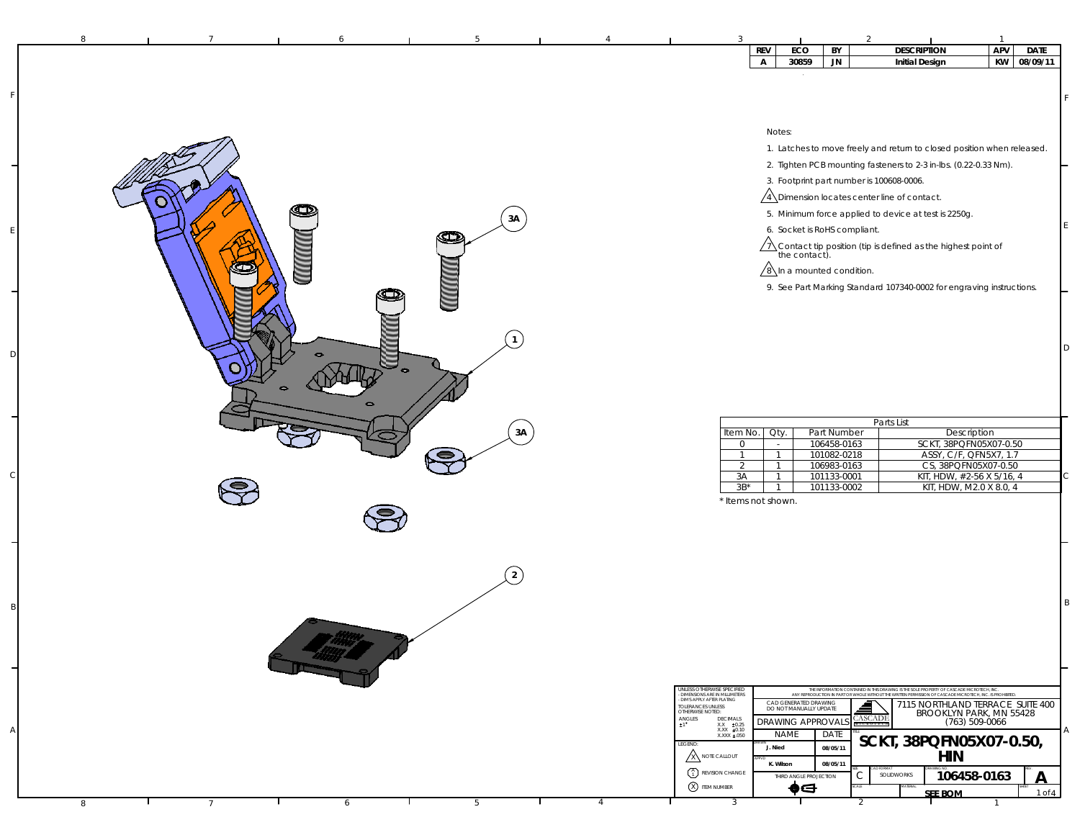|                                    | APV<br><b>REV</b><br>ECO<br><b>DESCRIPTION</b><br><b>DATE</b><br>BY                                                                                                                                                                                                                                                                       |
|------------------------------------|-------------------------------------------------------------------------------------------------------------------------------------------------------------------------------------------------------------------------------------------------------------------------------------------------------------------------------------------|
|                                    | 30859<br><b>JN</b><br>KW 08/09/11<br>$\mathsf{A}$<br><b>Initial Design</b>                                                                                                                                                                                                                                                                |
|                                    |                                                                                                                                                                                                                                                                                                                                           |
|                                    |                                                                                                                                                                                                                                                                                                                                           |
|                                    |                                                                                                                                                                                                                                                                                                                                           |
|                                    | Notes:                                                                                                                                                                                                                                                                                                                                    |
|                                    | 1. Latches to move freely and return to closed position when released.                                                                                                                                                                                                                                                                    |
|                                    |                                                                                                                                                                                                                                                                                                                                           |
|                                    | 2. Tighten PCB mounting fasteners to 2-3 in-lbs. (0.22-0.33 Nm).                                                                                                                                                                                                                                                                          |
|                                    | 3. Footprint part number is 100608-0006.                                                                                                                                                                                                                                                                                                  |
|                                    | $\sqrt{4}$ Dimension locates center line of contact.                                                                                                                                                                                                                                                                                      |
| 3A                                 | 5. Minimum force applied to device at test is 2250g.                                                                                                                                                                                                                                                                                      |
| Œ                                  | 6. Socket is RoHS compliant.                                                                                                                                                                                                                                                                                                              |
|                                    | $\sqrt{1}$ Contact tip position (tip is defined as the highest point of the contact).                                                                                                                                                                                                                                                     |
|                                    | $\sqrt{8}$ In a mounted condition.                                                                                                                                                                                                                                                                                                        |
|                                    |                                                                                                                                                                                                                                                                                                                                           |
|                                    | 9. See Part Marking Standard 107340-0002 for engraving instructions.                                                                                                                                                                                                                                                                      |
|                                    |                                                                                                                                                                                                                                                                                                                                           |
|                                    |                                                                                                                                                                                                                                                                                                                                           |
|                                    | D                                                                                                                                                                                                                                                                                                                                         |
| $\bullet$                          |                                                                                                                                                                                                                                                                                                                                           |
|                                    |                                                                                                                                                                                                                                                                                                                                           |
|                                    |                                                                                                                                                                                                                                                                                                                                           |
|                                    |                                                                                                                                                                                                                                                                                                                                           |
|                                    | Parts List                                                                                                                                                                                                                                                                                                                                |
| 3A                                 | Description<br>Item No.<br>Qty.<br>Part Number                                                                                                                                                                                                                                                                                            |
|                                    | SCKT, 38PQFN05X07-0.50<br>106458-0163<br>$\overline{0}$<br>$\sim$<br>101082-0218<br>ASSY, C/F, QFN5X7, 1.7<br>$\overline{1}$<br>$\mathbf{1}$                                                                                                                                                                                              |
|                                    | CS, 38PQFN05X07-0.50<br>$\overline{2}$<br>106983-0163<br>$\overline{1}$                                                                                                                                                                                                                                                                   |
|                                    | C<br>101133-0001<br>KIT, HDW, #2-56 X 5/16, 4<br>3A<br>$\overline{1}$<br>$3B^*$<br>101133-0002<br>KIT, HDW, M2.0 X 8.0, 4<br>$\overline{1}$                                                                                                                                                                                               |
|                                    | * Items not shown.                                                                                                                                                                                                                                                                                                                        |
|                                    |                                                                                                                                                                                                                                                                                                                                           |
|                                    |                                                                                                                                                                                                                                                                                                                                           |
|                                    |                                                                                                                                                                                                                                                                                                                                           |
|                                    |                                                                                                                                                                                                                                                                                                                                           |
| $\overline{2}$                     |                                                                                                                                                                                                                                                                                                                                           |
|                                    |                                                                                                                                                                                                                                                                                                                                           |
|                                    | B                                                                                                                                                                                                                                                                                                                                         |
|                                    |                                                                                                                                                                                                                                                                                                                                           |
|                                    |                                                                                                                                                                                                                                                                                                                                           |
|                                    |                                                                                                                                                                                                                                                                                                                                           |
|                                    |                                                                                                                                                                                                                                                                                                                                           |
|                                    | UNLESS OTHERWISE SPECIFIED                                                                                                                                                                                                                                                                                                                |
|                                    | THE INFORMATION CONTAINED IN THIS DRAWING IS THE SOLE PROPERTY OF CASCADE MICROTECH, INC.<br>ANY REPRODUCTION IN PART OR WHOLE WITHOUT THE WRITTEN PERMISSION OF CASCADE MICROTECH, INC. IS PROHIBITED<br>- DIMENSIONS ARE IN MILLIMETERS<br>- DIMENSIONS ARE IN MILLIMETERS<br>CAD GENERATED DRAWING<br>7115 NORTHLAND TERRACE SUITE 400 |
|                                    | TOLERANCES UNLESS<br>OTHERWISE NOTED:<br>DO NOT MANUALLY UPDATE<br>BROOKLYN PARK, MN 55428<br><b>CASCADE</b><br>$\underset{\pm 1}{\text{ANGLES}}$<br>DECIMALS<br><b>DRAWING APPROVAL</b><br>(763) 509-0066                                                                                                                                |
|                                    | $\begin{array}{cc} \text{XXX} & \pm 0.25 \\ \text{XXX} & \pm 0.10 \\ \text{XXX} & \pm .050 \end{array}$<br>Α<br><b>NAME</b><br>DATE                                                                                                                                                                                                       |
|                                    | SCKT, 38PQFN05X07-0.50,<br>LEGEND:<br>J. Nied<br>08/05/11                                                                                                                                                                                                                                                                                 |
|                                    | <b>X NOTE CALLOUT</b><br><b>HIN</b><br>K. Wilson<br>08/05/11                                                                                                                                                                                                                                                                              |
|                                    | $\binom{A}{1}$ REVISION CHANGE<br>C<br>SOLIDWORKS<br>106458-0163<br>$\overline{\mathsf{A}}$<br>THIRD ANGLE PROJECTION                                                                                                                                                                                                                     |
|                                    | X ITEM NUMBER<br>♠⊖<br>$1$ of $4$<br><b>SEE BOM</b>                                                                                                                                                                                                                                                                                       |
| 5<br>8<br>6<br>4<br>$\overline{7}$ | $\overline{3}$<br>2                                                                                                                                                                                                                                                                                                                       |

F

E

D

 $\epsilon$ 

B

A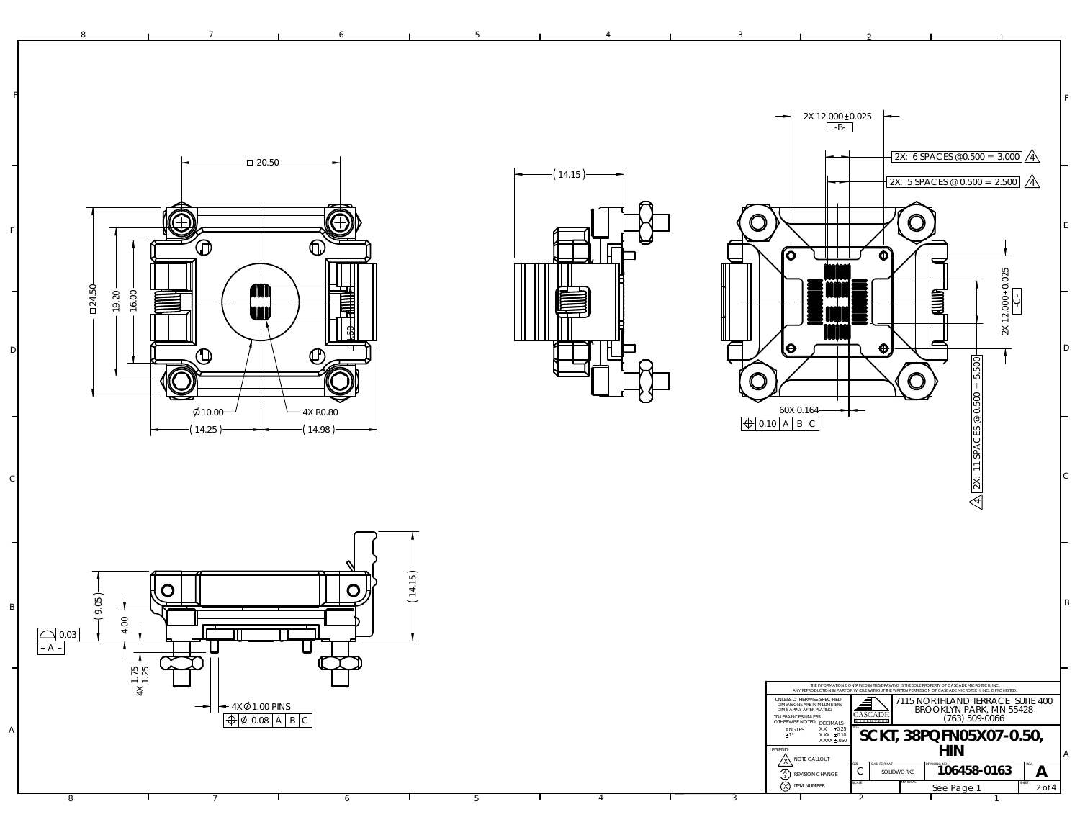F2X 12.000 ±0.025<br><del>R-</del> T-B- T 2X: 6 SPACES @0.500 = 3.000 20.50 14.15 2X: 5 SPACES @ 0.500 = 2.500 Œ  $\bigcirc$ Æ E⋒  $\circledD$  $\blacksquare$ ſθ  $\overline{\mathbf{e}}$ 24.50 **AM** 19.20 讍 16.00 **ini** 4.60 l⊕  $\ddot{\bullet}$ D $\mathbf \Phi$  $\mathbf \Phi$  $= 5.500$ 2X: 11 SPACES @ 0.500 = 5.500  $\mathbf{\mathsf{O}}$  $\bigcap$  $\phi$ 10.00-4X R0.8060X 0.1640.10 | A | B | C  $-(14.25)$  $\leftarrow$  (14.98) C4

8 **1** 7 **1** 6 **1** 5 **1** 4 **1** 3 **1** 2

 $2X$  12.000 $\pm$ 0.025

2X 12.000+0.025

 $\frac{4}{4}$ 

F

E

D

C

2

2 and  $\sim$  1.1  $\sim$  1.1  $\sim$  1.1  $\sim$  1.1  $\sim$  1.1  $\sim$  1.1  $\sim$  1.1  $\sim$  1.1  $\sim$  1.1  $\sim$  1.1  $\sim$  1.1  $\sim$  1.1  $\sim$  1.1  $\sim$  1.1  $\sim$  1.1  $\sim$  1.1  $\sim$  1.1  $\sim$  1.1  $\sim$  1.1  $\sim$  1.1  $\sim$  1.1  $\sim$  1.1  $\sim$  1.1  $\sim$  1.1

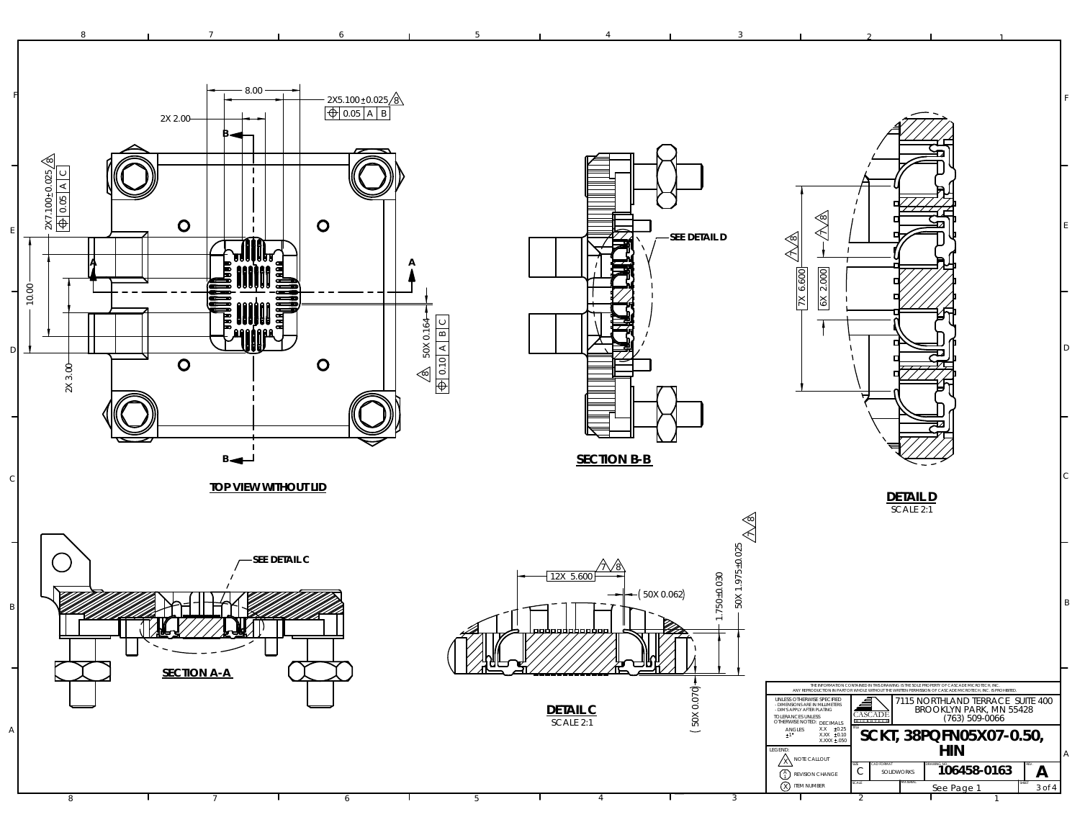